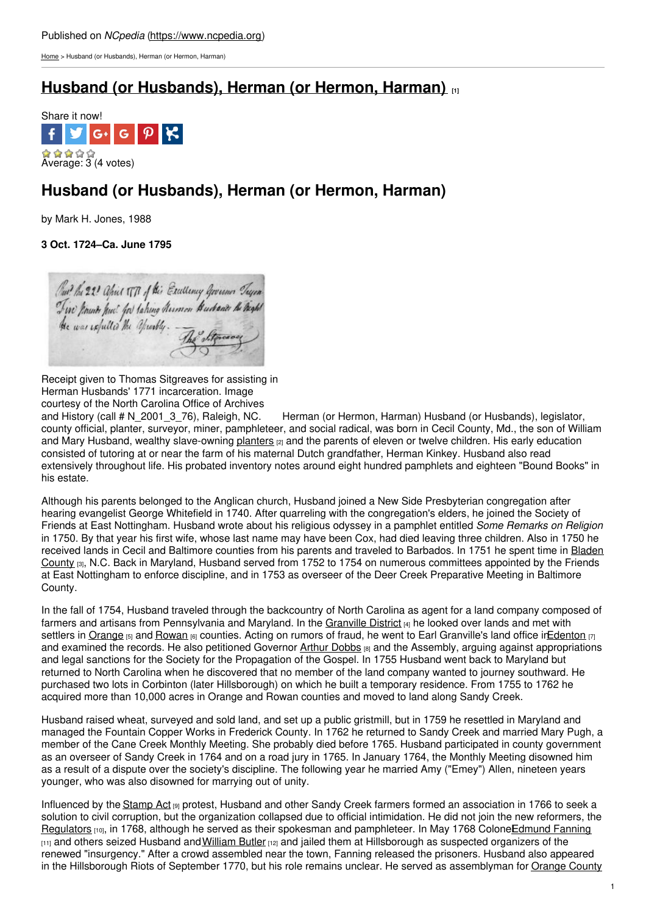[Home](https://www.ncpedia.org/) > Husband (or Husbands), Herman (or Hermon, Harman)

## **Husband (or [Husbands\),](https://www.ncpedia.org/biography/husband-or-husbands) Herman (or Hermon, Harman) [1]**



# **Husband (or Husbands), Herman (or Hermon, Harman)**

by Mark H. Jones, 1988

**3 Oct. 1724–Ca. June 1795**

Out the 22 Opis TTR of this Excellency Governor Tryin Tim hounds hui for taking Rumon Budants he high!

Receipt given to Thomas Sitgreaves for assisting in Herman Husbands' 1771 incarceration. Image

courtesy of the North Carolina Office of Archives<br>and History (call # N\_2001\_3\_76), Raleigh, NC. Herman (or Hermon, Harman) Husband (or Husbands), legislator, county official, planter, surveyor, miner, pamphleteer, and social radical, was born in Cecil County, Md., the son of William and Mary Husband, wealthy slave-owning [planters](https://www.ncpedia.org/gentry) [2] and the parents of eleven or twelve children. His early education consisted of tutoring at or near the farm of his maternal Dutch grandfather, Herman Kinkey. Husband also read extensively throughout life. His probated inventory notes around eight hundred pamphlets and eighteen "Bound Books" in his estate.

Although his parents belonged to the Anglican church, Husband joined a New Side Presbyterian congregation after hearing evangelist George Whitefield in 1740. After quarreling with the congregation's elders, he joined the Society of Friends at East Nottingham. Husband wrote about his religious odyssey in a pamphlet entitled *Some Remarks on Religion* in 1750. By that year his first wife, whose last name may have been Cox, had died leaving three children. Also in 1750 he received lands in Cecil and Baltimore counties from his parents and traveled to Barbados. In 1751 he spent time in Bladen County [3], N.C. Back in Maryland, Husband served from 1752 to 1754 on numerous [committees](https://www.ncpedia.org/geography/bladen) appointed by the Friends at East Nottingham to enforce discipline, and in 1753 as overseer of the Deer Creek Preparative Meeting in Baltimore County.

In the fall of 1754, Husband traveled through the backcountry of North Carolina as agent for a land company composed of farmers and artisans from Pennsylvania and Maryland. In the [Granville](https://www.ncpedia.org/granville-grant-and-district) District [4] he looked over lands and met with settlers in [Orange](https://www.ncpedia.org/geography/orange) [5] and [Rowan](https://www.ncpedia.org/geography/rowan) [6] counties. Acting on rumors of fraud, he went to Earl Granville's land office in Edenton [7] and examined the records. He also petitioned Governor Arthur [Dobbs](https://www.ncpedia.org/biography/dobbs-arthur) [8] and the Assembly, arguing against appropriations and legal sanctions for the Society for the Propagation of the Gospel. In 1755 Husband went back to Maryland but returned to North Carolina when he discovered that no member of the land company wanted to journey southward. He purchased two lots in Corbinton (later Hillsborough) on which he built a temporary residence. From 1755 to 1762 he acquired more than 10,000 acres in Orange and Rowan counties and moved to land along Sandy Creek.

Husband raised wheat, surveyed and sold land, and set up a public gristmill, but in 1759 he resettled in Maryland and managed the Fountain Copper Works in Frederick County. In 1762 he returned to Sandy Creek and married Mary Pugh, a member of the Cane Creek Monthly Meeting. She probably died before 1765. Husband participated in county government as an overseer of Sandy Creek in 1764 and on a road jury in 1765. In January 1764, the Monthly Meeting disowned him as a result of a dispute over the society's discipline. The following year he married Amy ("Emey") Allen, nineteen years younger, who was also disowned for marrying out of unity.

Influenced by the [Stamp](https://www.ncpedia.org/stamp-act) Act [9] protest, Husband and other Sandy Creek farmers formed an association in 1766 to seek a solution to civil corruption, but the organization collapsed due to official intimidation. He did not join the new reformers, the [Regulators](https://www.ncpedia.org/history/colonial/regulator-movement) [10], in 1768, although he served as their spokesman and pamphleteer. In May 1768 Colone Edmund Fanning [11] and others seized Husband and [William](https://www.ncpedia.org/biography/butler-william) Butler [12] and jailed them at Hillsborough as suspected organizers of the renewed "insurgency." After a crowd assembled near the town, Fanning released the prisoners. Husband also appeared in the Hillsborough Riots of September 1770, but his role remains unclear. He served as assemblyman for [Orange](https://www.ncpedia.org/geography/orange) County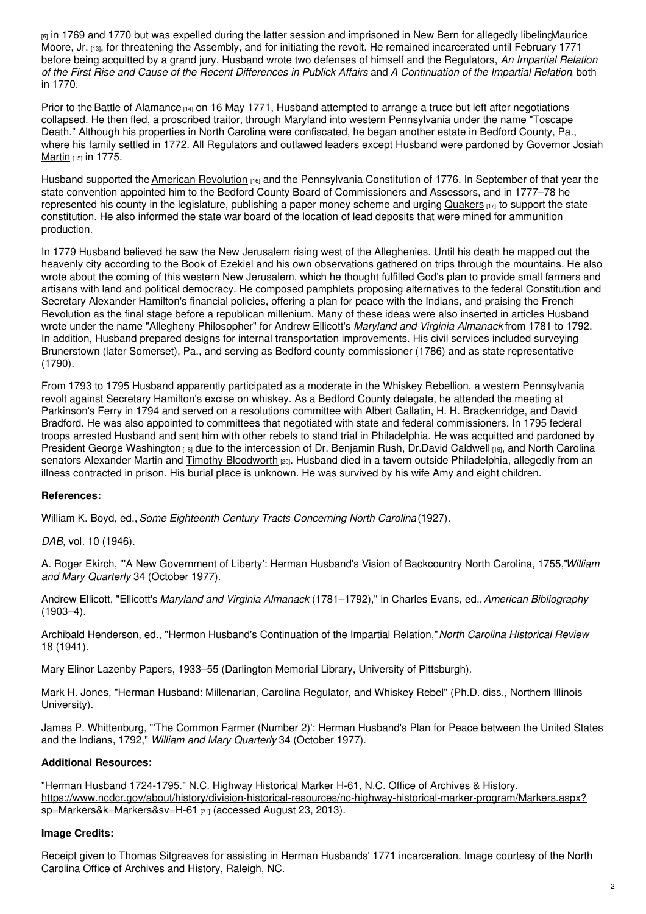[5] in 1769 and 1770 but was expelled during the latter session and imprisoned in New Bern for allegedly libeling Maurice Moore, Jr. [13], for threatening the Assembly, and for initiating the revolt. He remained incarcerated until February 1771 before being acquitted by a grand jury. Husband wrote two defenses of himself and the Regulators, *An Impartial Relation* of the First Rise and Cause of the Recent Differences in Publick Affairs and A Continuation of the Impartial Relation, both in 1770.

Prior to the Battle of [Alamance](https://www.ncpedia.org/alamance-battle) [14] on 16 May 1771, Husband attempted to arrange a truce but left after negotiations collapsed. He then fled, a proscribed traitor, through Maryland into western Pennsylvania under the name "Toscape Death." Although his properties in North Carolina were confiscated, he began another estate in Bedford County, Pa., where his family settled in 1772. All [Regulators](https://www.ncpedia.org/biography/martin-josiah) and outlawed leaders except Husband were pardoned by Governor Josiah Martin [15] in 1775.

Husband supported the American [Revolution](https://www.ncpedia.org/american-revolution) **[16]** and the Pennsylvania Constitution of 1776. In September of that year the state convention appointed him to the Bedford County Board of Commissioners and Assessors, and in 1777–78 he represented his county in the legislature, publishing a paper money scheme and urging [Quakers](https://www.ncpedia.org/quakers) [17] to support the state constitution. He also informed the state war board of the location of lead deposits that were mined for ammunition production.

In 1779 Husband believed he saw the New Jerusalem rising west of the Alleghenies. Until his death he mapped out the heavenly city according to the Book of Ezekiel and his own observations gathered on trips through the mountains. He also wrote about the coming of this western New Jerusalem, which he thought fulfilled God's plan to provide small farmers and artisans with land and political democracy. He composed pamphlets proposing alternatives to the federal Constitution and Secretary Alexander Hamilton's financial policies, offering a plan for peace with the Indians, and praising the French Revolution as the final stage before a republican millenium. Many of these ideas were also inserted in articles Husband wrote under the name "Allegheny Philosopher" for Andrew Ellicott's *Maryland and Virginia Almanack* from 1781 to 1792. In addition, Husband prepared designs for internal transportation improvements. His civil services included surveying Brunerstown (later Somerset), Pa., and serving as Bedford county commissioner (1786) and as state representative (1790).

From 1793 to 1795 Husband apparently participated as a moderate in the Whiskey Rebellion, a western Pennsylvania revolt against Secretary Hamilton's excise on whiskey. As a Bedford County delegate, he attended the meeting at Parkinson's Ferry in 1794 and served on a resolutions committee with Albert Gallatin, H. H. Brackenridge, and David Bradford. He was also appointed to committees that negotiated with state and federal commissioners. In 1795 federal troops arrested Husband and sent him with other rebels to stand trial in Philadelphia. He was acquitted and pardoned by President George [Washington](https://www.whitehouse.gov/about/presidents/georgewashington) [18] due to the intercession of Dr. Benjamin Rush, Dr.David [Caldwell](https://www.ncpedia.org/biography/caldwell-david) [19], and North Carolina senators Alexander Martin and Timothy [Bloodworth](https://www.ncpedia.org/biography/bloodworth-timothy) [20]. Husband died in a tavern outside Philadelphia, allegedly from an illness contracted in prison. His burial place is unknown. He was survived by his wife Amy and eight children.

### **References:**

William K. Boyd, ed.,*Some Eighteenth Century Tracts Concerning North Carolina*(1927).

*DAB*, vol. 10 (1946).

A. Roger Ekirch, "'A New Government of Liberty': Herman Husband's Vision of Backcountry North Carolina, 1755,"*William and Mary Quarterly* 34 (October 1977).

Andrew Ellicott, "Ellicott's *Maryland and Virginia Almanack* (1781–1792)," in Charles Evans, ed.,*American Bibliography* (1903–4).

Archibald Henderson, ed., "Hermon Husband's Continuation of the Impartial Relation,"*North Carolina Historical Review* 18 (1941).

Mary Elinor Lazenby Papers, 1933–55 (Darlington Memorial Library, University of Pittsburgh).

Mark H. Jones, "Herman Husband: Millenarian, Carolina Regulator, and Whiskey Rebel" (Ph.D. diss., Northern Illinois University).

James P. Whittenburg, "'The Common Farmer (Number 2)': Herman Husband's Plan for Peace between the United States and the Indians, 1792," *William and Mary Quarterly* 34 (October 1977).

### **Additional Resources:**

"Herman Husband 1724-1795." N.C. Highway Historical Marker H-61, N.C. Office of Archives & History. [https://www.ncdcr.gov/about/history/division-historical-resources/nc-highway-historical-marker-program/Markers.aspx?](https://www.ncdcr.gov/about/history/division-historical-resources/nc-highway-historical-marker-program/Markers.aspx?sp=Markers&k=Markers&sv=H-61) sp=Markers&k=Markers&sv=H-61 [21] (accessed August 23, 2013).

### **Image Credits:**

Receipt given to Thomas Sitgreaves for assisting in Herman Husbands' 1771 incarceration. Image courtesy of the North Carolina Office of Archives and History, Raleigh, NC.